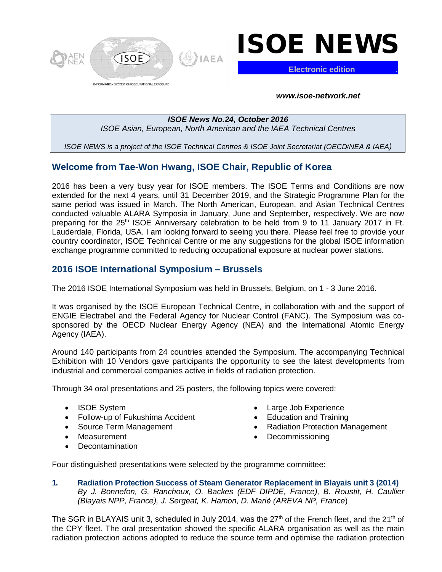

# ISOE NEWS

**Electronic edition** .

*www.isoe-network.net*

## *ISOE News No.24, October 2016 ISOE Asian, European, North American and the IAEA Technical Centres*

*ISOE NEWS is a project of the ISOE Technical Centres & ISOE Joint Secretariat (OECD/NEA & IAEA)*

## **Welcome from Tae-Won Hwang, ISOE Chair, Republic of Korea**

2016 has been a very busy year for ISOE members. The ISOE Terms and Conditions are now extended for the next 4 years, until 31 December 2019, and the Strategic Programme Plan for the same period was issued in March. The North American, European, and Asian Technical Centres conducted valuable ALARA Symposia in January, June and September, respectively. We are now preparing for the 25<sup>th</sup> ISOE Anniversary celebration to be held from 9 to 11 January 2017 in Ft. Lauderdale, Florida, USA. I am looking forward to seeing you there. Please feel free to provide your country coordinator, ISOE Technical Centre or me any suggestions for the global ISOE information exchange programme committed to reducing occupational exposure at nuclear power stations.

## **2016 ISOE International Symposium – Brussels**

The 2016 ISOE International Symposium was held in Brussels, Belgium, on 1 - 3 June 2016.

It was organised by the ISOE European Technical Centre, in collaboration with and the support of ENGIE Electrabel and the Federal Agency for Nuclear Control (FANC). The Symposium was cosponsored by the OECD Nuclear Energy Agency (NEA) and the International Atomic Energy Agency (IAEA).

Around 140 participants from 24 countries attended the Symposium. The accompanying Technical Exhibition with 10 Vendors gave participants the opportunity to see the latest developments from industrial and commercial companies active in fields of radiation protection.

Through 34 oral presentations and 25 posters, the following topics were covered:

- ISOE System
- Follow-up of Fukushima Accident
- Source Term Management
- Measurement
- Decontamination
- Large Job Experience
- Education and Training
- Radiation Protection Management
- Decommissioning

Four distinguished presentations were selected by the programme committee:

**1. Radiation Protection Success of Steam Generator Replacement in Blayais unit 3 (2014)** *By J. Bonnefon, G. Ranchoux, O. Backes (EDF DIPDE, France), B. Roustit, H. Caullier (Blayais NPP, France), J. Sergeat, K. Hamon, D. Marié (AREVA NP, France*)

The SGR in BLAYAIS unit 3, scheduled in July 2014, was the 27<sup>th</sup> of the French fleet, and the 21<sup>th</sup> of the CPY fleet. The oral presentation showed the specific ALARA organisation as well as the main radiation protection actions adopted to reduce the source term and optimise the radiation protection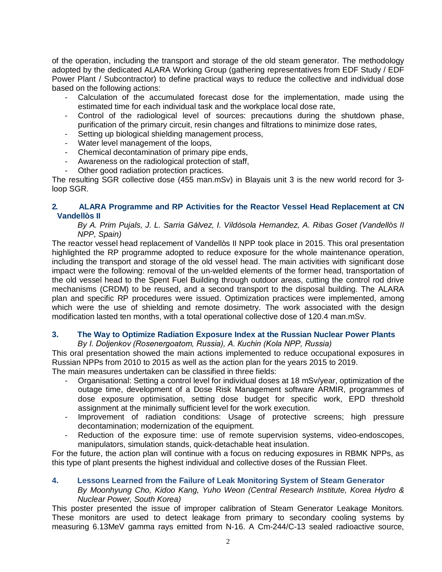of the operation, including the transport and storage of the old steam generator. The methodology adopted by the dedicated ALARA Working Group (gathering representatives from EDF Study / EDF Power Plant / Subcontractor) to define practical ways to reduce the collective and individual dose based on the following actions:

- Calculation of the accumulated forecast dose for the implementation, made using the estimated time for each individual task and the workplace local dose rate,
- Control of the radiological level of sources: precautions during the shutdown phase, purification of the primary circuit, resin changes and filtrations to minimize dose rates,
- Setting up biological shielding management process,
- Water level management of the loops,
- Chemical decontamination of primary pipe ends,
- Awareness on the radiological protection of staff,
- Other good radiation protection practices.

The resulting SGR collective dose (455 man.mSv) in Blayais unit 3 is the new world record for 3 loop SGR.

## **2. ALARA Programme and RP Activities for the Reactor Vessel Head Replacement at CN Vandellòs II**

## *By A. Prim Pujals, J. L. Sarria Gálvez, I. Vildósola Hernandez, A. Ribas Goset (Vandellòs II NPP, Spain)*

The reactor vessel head replacement of Vandellò s II NPP took place in 2015. This oral presentation highlighted the RP programme adopted to reduce exposure for the whole maintenance operation, including the transport and storage of the old vessel head. The main activities with significant dose impact were the following: removal of the un-welded elements of the former head, transportation of the old vessel head to the Spent Fuel Building through outdoor areas, cutting the control rod drive mechanisms (CRDM) to be reused, and a second transport to the disposal building. The ALARA plan and specific RP procedures were issued. Optimization practices were implemented, among which were the use of shielding and remote dosimetry. The work associated with the design modification lasted ten months, with a total operational collective dose of 120.4 man.mSv.

## **3. The Way to Optimize Radiation Exposure Index at the Russian Nuclear Power Plants**

### *By I. Doljenkov (Rosenergoatom, Russia), A. Кuchin (Kola NPP, Russia)*

This oral presentation showed the main actions implemented to reduce occupational exposures in Russian NPPs from 2010 to 2015 as well as the action plan for the years 2015 to 2019.

The main measures undertaken can be classified in three fields:

- Organisational: Setting a control level for individual doses at 18 mSv/year, optimization of the outage time, development of a Dose Risk Management software ARMIR, programmes of dose exposure optimisation, setting dose budget for specific work, EPD threshold assignment at the minimally sufficient level for the work execution.
- Improvement of radiation conditions: Usage of protective screens; high pressure decontamination; modernization of the equipment.
- Reduction of the exposure time: use of remote supervision systems, video-endoscopes, manipulators, simulation stands, quick-detachable heat insulation.

For the future, the action plan will continue with a focus on reducing exposures in RBMK NPPs, as this type of plant presents the highest individual and collective doses of the Russian Fleet.

## **4. Lessons Learned from the Failure of Leak Monitoring System of Steam Generator**

### *By Moonhyung Cho, Kidoo Kang, Yuho Weon (Central Research Institute, Korea Hydro & Nuclear Power, South Korea)*

This poster presented the issue of improper calibration of Steam Generator Leakage Monitors. These monitors are used to detect leakage from primary to secondary cooling systems by measuring 6.13MeV gamma rays emitted from N-16. A Cm-244/C-13 sealed radioactive source,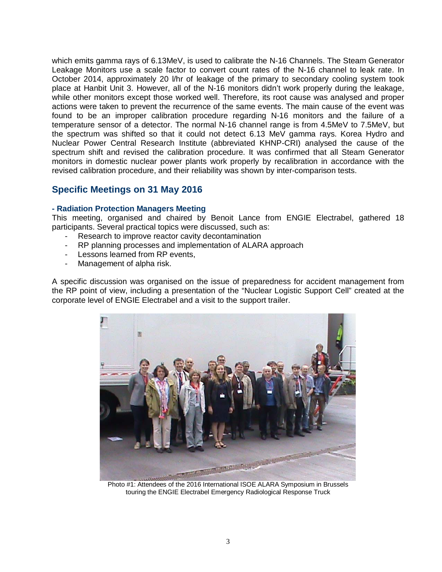which emits gamma rays of 6.13MeV, is used to calibrate the N-16 Channels. The Steam Generator Leakage Monitors use a scale factor to convert count rates of the N-16 channel to leak rate. In October 2014, approximately 20 l/hr of leakage of the primary to secondary cooling system took place at Hanbit Unit 3. However, all of the N-16 monitors didn't work properly during the leakage, while other monitors except those worked well. Therefore, its root cause was analysed and proper actions were taken to prevent the recurrence of the same events. The main cause of the event was found to be an improper calibration procedure regarding N-16 monitors and the failure of a temperature sensor of a detector. The normal N-16 channel range is from 4.5MeV to 7.5MeV, but the spectrum was shifted so that it could not detect 6.13 MeV gamma rays. Korea Hydro and Nuclear Power Central Research Institute (abbreviated KHNP-CRI) analysed the cause of the spectrum shift and revised the calibration procedure. It was confirmed that all Steam Generator monitors in domestic nuclear power plants work properly by recalibration in accordance with the revised calibration procedure, and their reliability was shown by inter-comparison tests.

## **Specific Meetings on 31 May 2016**

## **- Radiation Protection Managers Meeting**

This meeting, organised and chaired by Benoit Lance from ENGIE Electrabel, gathered 18 participants. Several practical topics were discussed, such as:

- Research to improve reactor cavity decontamination
- RP planning processes and implementation of ALARA approach
- Lessons learned from RP events,
- Management of alpha risk.

A specific discussion was organised on the issue of preparedness for accident management from the RP point of view, including a presentation of the "Nuclear Logistic Support Cell" created at the corporate level of ENGIE Electrabel and a visit to the support trailer.



Photo #1: Attendees of the 2016 International ISOE ALARA Symposium in Brussels touring the ENGIE Electrabel Emergency Radiological Response Truck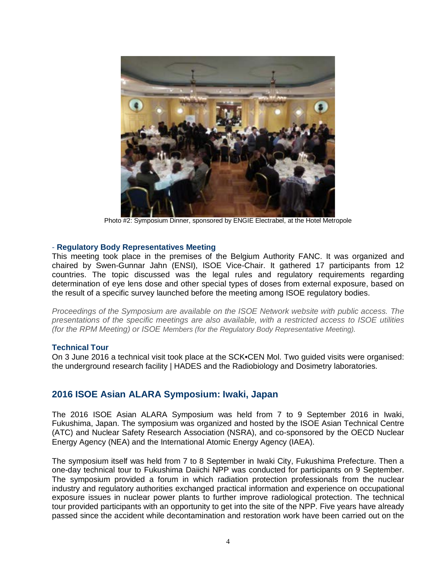

Photo #2: Symposium Dinner, sponsored by ENGIE Electrabel, at the Hotel Metropole

## - **Regulatory Body Representatives Meeting**

This meeting took place in the premises of the Belgium Authority FANC. It was organized and chaired by Swen-Gunnar Jahn (ENSI), ISOE Vice-Chair. It gathered 17 participants from 12 countries. The topic discussed was the legal rules and regulatory requirements regarding determination of eye lens dose and other special types of doses from external exposure, based on the result of a specific survey launched before the meeting among ISOE regulatory bodies.

*Proceedings of the Symposium are available on the ISOE Network website with public access. The presentations of the specific meetings are also available, with a restricted access to ISOE utilities (for the RPM Meeting) or ISOE Members (for the Regulatory Body Representative Meeting).*

### **Technical Tour**

On 3 June 2016 a technical visit took place at the SCK•CEN Mol. Two guided visits were organised: the underground research facility | HADES and the Radiobiology and Dosimetry laboratories.

## **2016 ISOE Asian ALARA Symposium: Iwaki, Japan**

The 2016 ISOE Asian ALARA Symposium was held from 7 to 9 September 2016 in Iwaki, Fukushima, Japan. The symposium was organized and hosted by the ISOE Asian Technical Centre (ATC) and Nuclear Safety Research Association (NSRA), and co-sponsored by the OECD Nuclear Energy Agency (NEA) and the International Atomic Energy Agency (IAEA).

The symposium itself was held from 7 to 8 September in Iwaki City, Fukushima Prefecture. Then a one-day technical tour to Fukushima Daiichi NPP was conducted for participants on 9 September. The symposium provided a forum in which radiation protection professionals from the nuclear industry and regulatory authorities exchanged practical information and experience on occupational exposure issues in nuclear power plants to further improve radiological protection. The technical tour provided participants with an opportunity to get into the site of the NPP. Five years have already passed since the accident while decontamination and restoration work have been carried out on the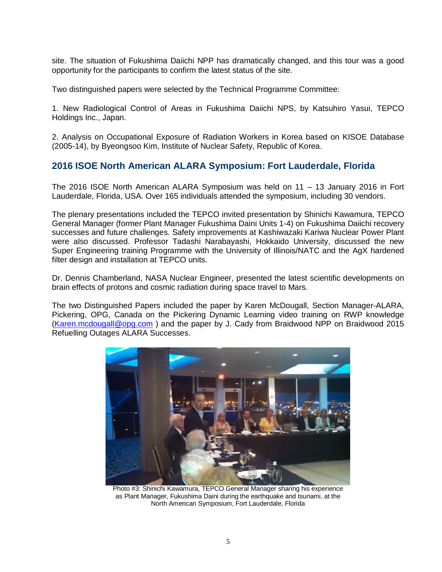site. The situation of Fukushima Daiichi NPP has dramatically changed, and this tour was a good opportunity for the participants to confirm the latest status of the site.

Two distinguished papers were selected by the Technical Programme Committee:

1. New Radiological Control of Areas in Fukushima Daiichi NPS, by Katsuhiro Yasui, TEPCO Holdings Inc., Japan.

2. Analysis on Occupational Exposure of Radiation Workers in Korea based on KISOE Database (2005-14), by Byeongsoo Kim, Institute of Nuclear Safety, Republic of Korea.

## **2016 ISOE North American ALARA Symposium: Fort Lauderdale, Florida**

The 2016 ISOE North American ALARA Symposium was held on 11 – 13 January 2016 in Fort Lauderdale, Florida, USA. Over 165 individuals attended the symposium, including 30 vendors.

The plenary presentations included the TEPCO invited presentation by Shinichi Kawamura, TEPCO General Manager (former Plant Manager Fukushima Daini Units 1-4) on Fukushima Daiichi recovery successes and future challenges. Safety improvements at Kashiwazaki Kariwa Nuclear Power Plant were also discussed. Professor Tadashi Narabayashi, Hokkaido University, discussed the new Super Engineering training Programme with the University of Illinois/NATC and the AgX hardened filter design and installation at TEPCO units.

Dr. Dennis Chamberland, NASA Nuclear Engineer, presented the latest scientific developments on brain effects of protons and cosmic radiation during space travel to Mars.

The two Distinguished Papers included the paper by Karen McDougall, Section Manager-ALARA, Pickering, OPG, Canada on the Pickering Dynamic Learning video training on RWP knowledge [\(Karen.mcdougall@opg.com](mailto:Karen.mcdougall@opg.com) ) and the paper by J. Cady from Braidwood NPP on Braidwood 2015 Refuelling Outages ALARA Successes.



Photo #3: Shinichi Kawamura, TEPCO General Manager sharing his experience as Plant Manager, Fukushima Daini during the earthquake and tsunami, at the North American Symposium, Fort Lauderdale, Florida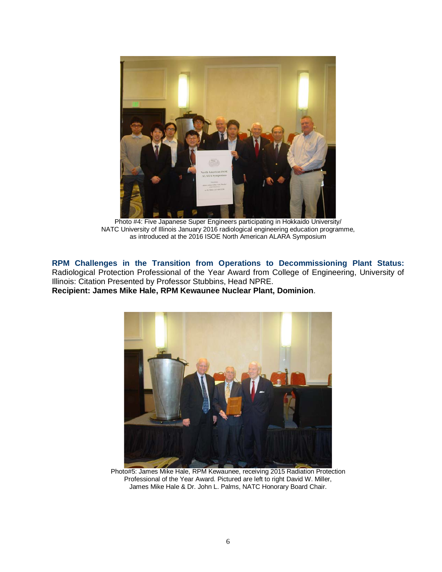

Photo #4: Five Japanese Super Engineers participating in Hokkaido University/ NATC University of Illinois January 2016 radiological engineering education programme, as introduced at the 2016 ISOE North American ALARA Symposium

**RPM Challenges in the Transition from Operations to Decommissioning Plant Status:**  Radiological Protection Professional of the Year Award from College of Engineering, University of Illinois: Citation Presented by Professor Stubbins, Head NPRE. **Recipient: James Mike Hale, RPM Kewaunee Nuclear Plant, Dominion**.



Photo#5: James Mike Hale, RPM Kewaunee, receiving 2015 Radiation Protection Professional of the Year Award. Pictured are left to right David W. Miller, James Mike Hale & Dr. John L. Palms, NATC Honorary Board Chair.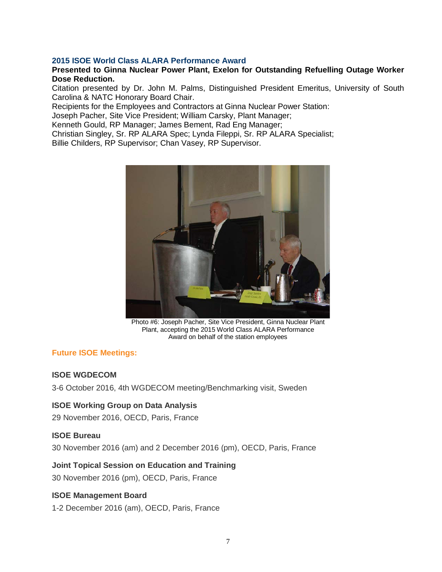## **2015 ISOE World Class ALARA Performance Award**

## **Presented to Ginna Nuclear Power Plant, Exelon for Outstanding Refuelling Outage Worker Dose Reduction.**

Citation presented by Dr. John M. Palms, Distinguished President Emeritus, University of South Carolina & NATC Honorary Board Chair.

Recipients for the Employees and Contractors at Ginna Nuclear Power Station:

Joseph Pacher, Site Vice President; William Carsky, Plant Manager;

Kenneth Gould, RP Manager; James Bement, Rad Eng Manager;

Christian Singley, Sr. RP ALARA Spec; Lynda Fileppi, Sr. RP ALARA Specialist;

Billie Childers, RP Supervisor; Chan Vasey, RP Supervisor.



Photo #6: Joseph Pacher, Site Vice President, Ginna Nuclear Plant Plant, accepting the 2015 World Class ALARA Performance Award on behalf of the station employees

## **Future ISOE Meetings:**

### **ISOE WGDECOM**

3-6 October 2016, 4th WGDECOM meeting/Benchmarking visit, Sweden

### **ISOE Working Group on Data Analysis**

29 November 2016, OECD, Paris, France

### **ISOE Bureau**

30 November 2016 (am) and 2 December 2016 (pm), OECD, Paris, France

## **Joint Topical Session on Education and Training**

30 November 2016 (pm), OECD, Paris, France

## **ISOE Management Board**

1-2 December 2016 (am), OECD, Paris, France